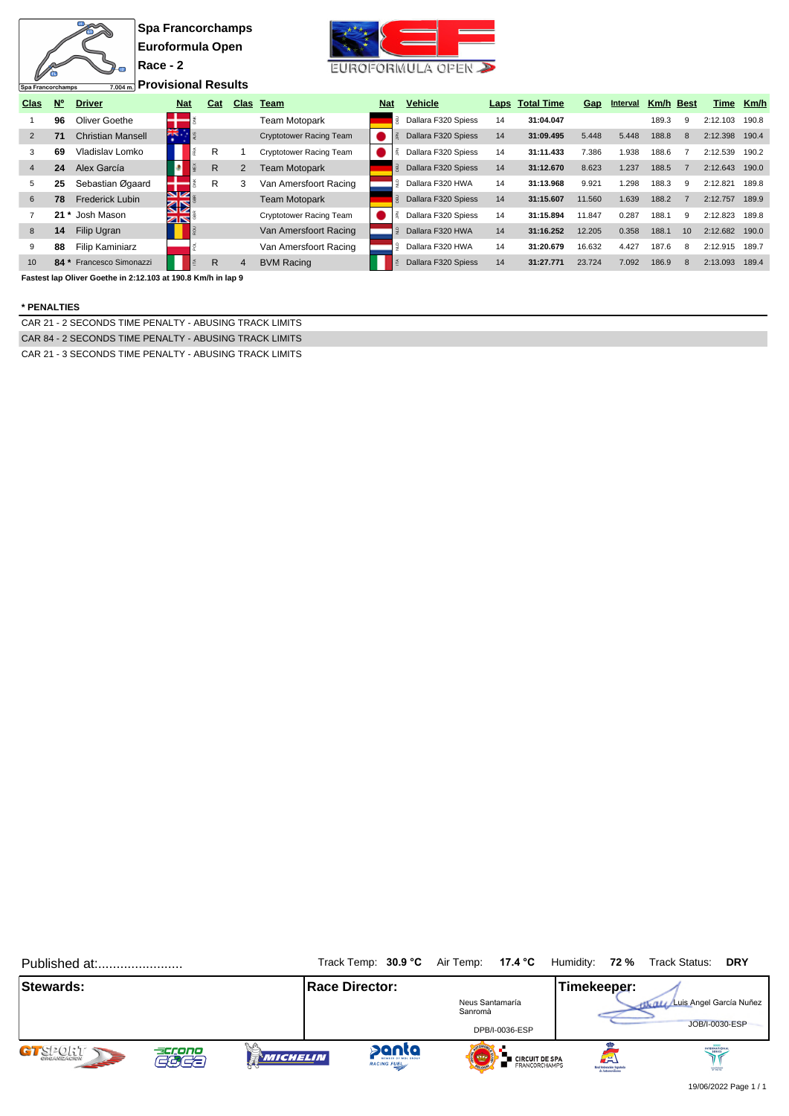

**Provisional Results**

| Clas           | $N^{\circ}$ | <b>Driver</b>            | <b>Nat</b>       | Cat |   | Clas Team                      | <b>Nat</b> | <b>Vehicle</b>      |    | Laps Total Time | Gap    | Interval | Km/h  | Best | Time     | Km/h  |
|----------------|-------------|--------------------------|------------------|-----|---|--------------------------------|------------|---------------------|----|-----------------|--------|----------|-------|------|----------|-------|
|                | 96          | Oliver Goethe            |                  |     |   | Team Motopark                  |            | Dallara F320 Spiess | 14 | 31:04.047       |        |          | 189.3 | 9    | 2:12.103 | 190.8 |
| $\overline{2}$ | 71          | <b>Christian Mansell</b> | Ж.               |     |   | <b>Cryptotower Racing Team</b> |            | Dallara F320 Spiess | 14 | 31:09.495       | 5.448  | 5.448    | 188.8 | 8    | 2:12.398 | 190.4 |
| 3              | 69          | Vladislav Lomko          |                  | R   |   | <b>Cryptotower Racing Team</b> |            | Dallara F320 Spiess | 14 | 31:11.433       | 7.386  | 1.938    | 188.6 |      | 2:12.539 | 190.2 |
| $\overline{4}$ | 24          | Alex García              |                  | R   | 2 | Team Motopark                  |            | Dallara F320 Spiess | 14 | 31:12.670       | 8.623  | 1.237    | 188.5 |      | 2:12.643 | 190.0 |
| 5              | 25          | Sebastian Øgaard         |                  | R   | 3 | Van Amersfoort Racing          |            | Dallara F320 HWA    | 14 | 31:13.968       | 9.921  | 1.298    | 188.3 | 9    | 2:12.821 | 189.8 |
| 6              | 78          | <b>Frederick Lubin</b>   | VK<br><u> 35</u> |     |   | <b>Team Motopark</b>           |            | Dallara F320 Spiess | 14 | 31:15.607       | 11.560 | 1.639    | 188.2 |      | 2:12.757 | 189.9 |
|                | $21*$       | Josh Mason               | ZN               |     |   | <b>Cryptotower Racing Team</b> |            | Dallara F320 Spiess | 14 | 31:15.894       | 11.847 | 0.287    | 188.1 | 9    | 2:12.823 | 189.8 |
| 8              | 14          | Filip Ugran              |                  |     |   | Van Amersfoort Racing          |            | Dallara F320 HWA    | 14 | 31:16.252       | 12.205 | 0.358    | 188.1 | 10   | 2:12.682 | 190.0 |
| 9              | 88          | Filip Kaminiarz          |                  |     |   | Van Amersfoort Racing          |            | Dallara F320 HWA    | 14 | 31:20.679       | 16.632 | 4.427    | 187.6 | 8    | 2:12.915 | 189.7 |
| 10             |             | 84 * Francesco Simonazzi |                  | R   | 4 | <b>BVM Racing</b>              |            | Dallara F320 Spiess | 14 | 31:27.771       | 23.724 | 7.092    | 186.9 | 8    | 2:13.093 | 189.4 |

**Fastest lap Oliver Goethe in 2:12.103 at 190.8 Km/h in lap 9**

## **\* PENALTIES**

Spa Francorchamps

CAR 21 - 2 SECONDS TIME PENALTY - ABUSING TRACK LIMITS CAR 84 - 2 SECONDS TIME PENALTY - ABUSING TRACK LIMITS CAR 21 - 3 SECONDS TIME PENALTY - ABUSING TRACK LIMITS

Published at:....................... Track Temp: **30.9 °C** Air Temp: **17.4 °C** Humidity: **72 %** Track Status: **DRY Stewards: Race Director: Race Director: Timekeeper:** Luis Angel García Nuñez Neus Santamaría<br>Sanromà JOB/I-0030-ESP DPB/I-0036-ESP INTERNATIONAL GTSPORT panta **LE**<br>**De Circuit de SPA<br>De** Francorchamps acrono<br>GCCC **WICHELIN**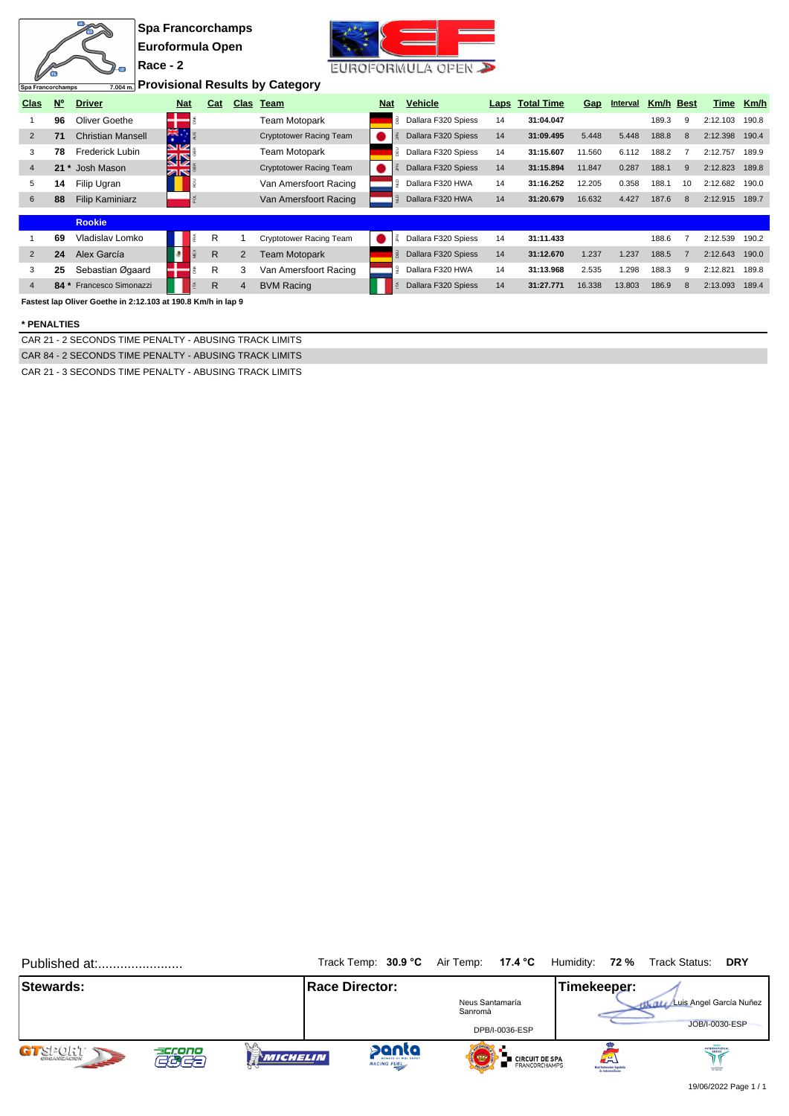|                   |             |                                                              | <b>Spa Francorchamps</b> |                   |              |                |                                        |            |                              |      |                   |            |          |           |              |          |       |
|-------------------|-------------|--------------------------------------------------------------|--------------------------|-------------------|--------------|----------------|----------------------------------------|------------|------------------------------|------|-------------------|------------|----------|-----------|--------------|----------|-------|
|                   |             |                                                              | Euroformula Open         |                   |              |                |                                        |            |                              |      |                   |            |          |           |              |          |       |
|                   |             | l (2)                                                        | Race - 2                 |                   |              |                |                                        |            | EUROFORMULA OPEN             |      |                   |            |          |           |              |          |       |
| Spa Francorchamps |             |                                                              |                          |                   |              |                | 7,004m Provisional Results by Category |            |                              |      |                   |            |          |           |              |          |       |
| <b>Clas</b>       | $N^{\circ}$ | <b>Driver</b>                                                |                          | <b>Nat</b>        | Cat          |                | Clas Team                              | <b>Nat</b> | <b>Vehicle</b>               | Laps | <b>Total Time</b> | <b>Gap</b> | Interval | Km/h Best |              | Time     | Km/h  |
|                   | 96          | Oliver Goethe                                                |                          |                   |              |                | <b>Team Motopark</b>                   |            | <b>B</b> Dallara F320 Spiess | 14   | 31:04.047         |            |          | 189.3     | 9            | 2:12.103 | 190.8 |
| $\overline{2}$    | 71          | <b>Christian Mansell</b>                                     |                          | 糕                 |              |                | <b>Cryptotower Racing Team</b>         |            | Dallara F320 Spiess          | 14   | 31:09.495         | 5.448      | 5.448    | 188.8     | -8           | 2:12.398 | 190.4 |
| 3                 | 78          | <b>Frederick Lubin</b>                                       |                          | <b>SIZ</b>        |              |                | Team Motopark                          |            | B Dallara F320 Spiess        | 14   | 31:15.607         | 11.560     | 6.112    | 188.2     |              | 2:12.757 | 189.9 |
| $\overline{4}$    |             | 21 * Josh Mason                                              |                          | <b>KIN</b><br>ZIR |              |                | <b>Cryptotower Racing Team</b>         |            | Dallara F320 Spiess          | 14   | 31:15.894         | 11.847     | 0.287    | 188.1     | 9            | 2:12.823 | 189.8 |
| 5                 | 14          | Filip Ugran                                                  |                          |                   |              |                | Van Amersfoort Racing                  |            | Dallara F320 HWA             | 14   | 31:16.252         | 12.205     | 0.358    | 188.1     | 10           | 2:12.682 | 190.0 |
| 6                 | 88          | <b>Filip Kaminiarz</b>                                       |                          |                   |              |                | Van Amersfoort Racing                  |            | Dallara F320 HWA             | 14   | 31:20.679         | 16.632     | 4.427    | 187.6     | 8            | 2:12.915 | 189.7 |
|                   |             | <b>Rookie</b>                                                |                          |                   |              |                |                                        |            |                              |      |                   |            |          |           |              |          |       |
|                   | 69          | Vladislav Lomko                                              |                          |                   | R            |                | Cryptotower Racing Team                |            | Dallara F320 Spiess          | 14   | 31:11.433         |            |          | 188.6     |              | 2:12.539 | 190.2 |
| 2                 | 24          | Alex García                                                  |                          |                   | R            | 2              | Team Motopark                          |            | <b>B</b> Dallara F320 Spiess | 14   | 31:12.670         | 1.237      | 1.237    | 188.5     |              | 2:12.643 | 190.0 |
| 3                 | 25          | Sebastian Øgaard                                             |                          |                   | R            | 3              | Van Amersfoort Racing                  |            | Dallara F320 HWA             | 14   | 31:13.968         | 2.535      | 1.298    | 188.3     | 9            | 2:12.821 | 189.8 |
| $\overline{4}$    |             | 84 * Francesco Simonazzi                                     |                          |                   | $\mathsf{R}$ | $\overline{4}$ | <b>BVM Racing</b>                      |            | Dallara F320 Spiess          | 14   | 31:27.771         | 16.338     | 13.803   | 186.9     | $\mathsf{R}$ | 2:13.093 | 189.4 |
|                   |             | Fastest lap Oliver Goethe in 2:12.103 at 190.8 Km/h in lap 9 |                          |                   |              |                |                                        |            |                              |      |                   |            |          |           |              |          |       |

 $x^{t+1}$   $\qquad \qquad$ 

### **\* PENALTIES**

**REA** 

CAR 21 - 2 SECONDS TIME PENALTY - ABUSING TRACK LIMITS CAR 84 - 2 SECONDS TIME PENALTY - ABUSING TRACK LIMITS

CAR 21 - 3 SECONDS TIME PENALTY - ABUSING TRACK LIMITS

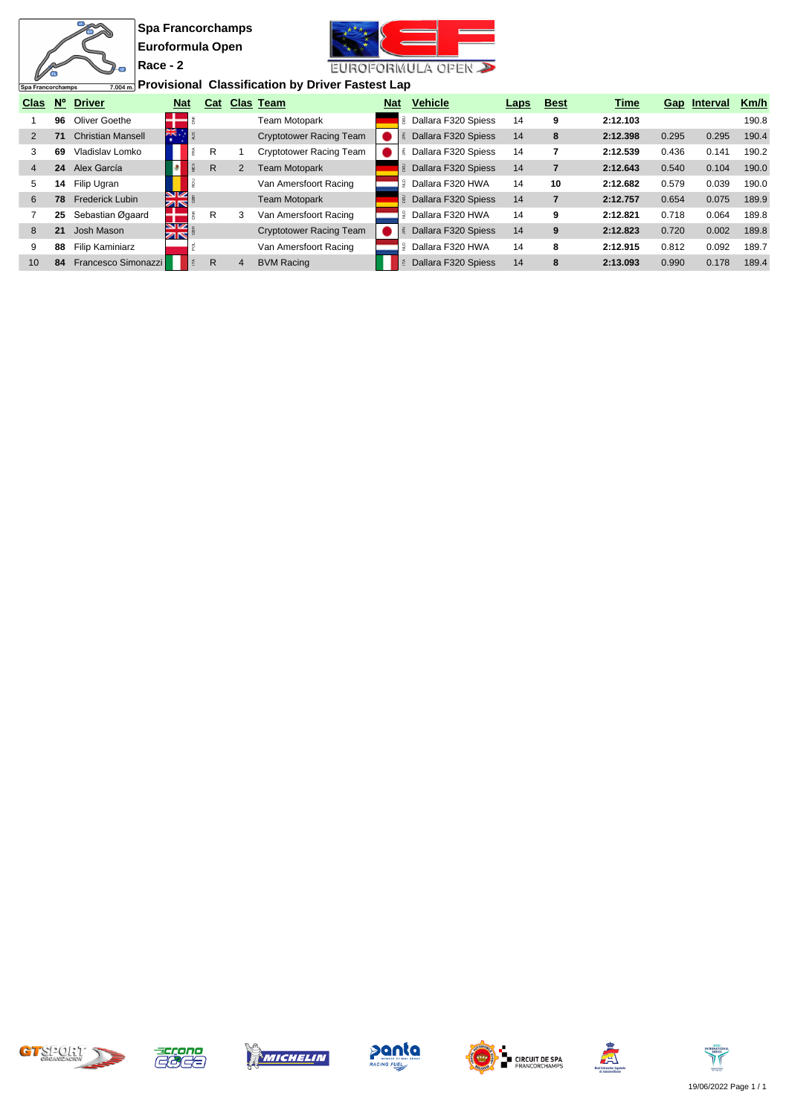$\frac{m}{m}$ 

 $\overline{2}$ 



**Provisional Classification by Driver Fastest Lap**

|                | ⊺Spa Francorcnamps<br>$1.004$ m i to violonut onussinoution by Dirver I astest Eap |                          |                  |     |   |                                |     |                              |      |             |             |       |              |       |
|----------------|------------------------------------------------------------------------------------|--------------------------|------------------|-----|---|--------------------------------|-----|------------------------------|------|-------------|-------------|-------|--------------|-------|
| Clas           | $N^{\circ}$                                                                        | <b>Driver</b>            | <b>Nat</b>       | Cat |   | Clas Team                      | Nat | <b>Vehicle</b>               | Laps | <b>Best</b> | <b>Time</b> |       | Gap Interval | Km/h  |
|                | 96                                                                                 | Oliver Goethe            |                  |     |   | <b>Team Motopark</b>           |     | <b>B</b> Dallara F320 Spiess | 14   | 9           | 2:12.103    |       |              | 190.8 |
| 2              | 71                                                                                 | <b>Christian Mansell</b> | ăĶ.              |     |   | <b>Cryptotower Racing Team</b> |     | Dallara F320 Spiess          | 14   | 8           | 2:12.398    | 0.295 | 0.295        | 190.4 |
|                | 69                                                                                 | Vladislav Lomko          |                  | R   |   | <b>Cryptotower Racing Team</b> |     | Dallara F320 Spiess          | 14   |             | 2:12.539    | 0.436 | 0.141        | 190.2 |
| $\overline{4}$ | 24                                                                                 | Alex García              |                  | R   | 2 | Team Motopark                  |     | Dallara F320 Spiess          | 14   |             | 2:12.643    | 0.540 | 0.104        | 190.0 |
| 5              | 14                                                                                 | Filip Ugran              |                  |     |   | Van Amersfoort Racing          | 9   | Dallara F320 HWA             | 14   | 10          | 2:12.682    | 0.579 | 0.039        | 190.0 |
| 6              | 78                                                                                 | <b>Frederick Lubin</b>   | 9×<br>ZK         |     |   | <b>Team Motopark</b>           |     | Dallara F320 Spiess          | 14   |             | 2:12.757    | 0.654 | 0.075        | 189.9 |
|                | 25                                                                                 | Sebastian Øgaard         |                  | R   | 3 | Van Amersfoort Racing          |     | Dallara F320 HWA             | 14   | 9           | 2:12.821    | 0.718 | 0.064        | 189.8 |
| 8              | 21                                                                                 | Josh Mason               | SK<br><b>ZIN</b> |     |   | <b>Cryptotower Racing Team</b> |     | Dallara F320 Spiess          | 14   | 9           | 2:12.823    | 0.720 | 0.002        | 189.8 |
| 9              | 88                                                                                 | <b>Filip Kaminiarz</b>   |                  |     |   | Van Amersfoort Racing          | ≘   | Dallara F320 HWA             | 14   | 8           | 2:12.915    | 0.812 | 0.092        | 189.7 |
| 10             | 84                                                                                 | Francesco Simonazzi      |                  | R   | 4 | <b>BVM Racing</b>              |     | Dallara F320 Spiess          | 14   | 8           | 2:13.093    | 0.990 | 0.178        | 189.4 |











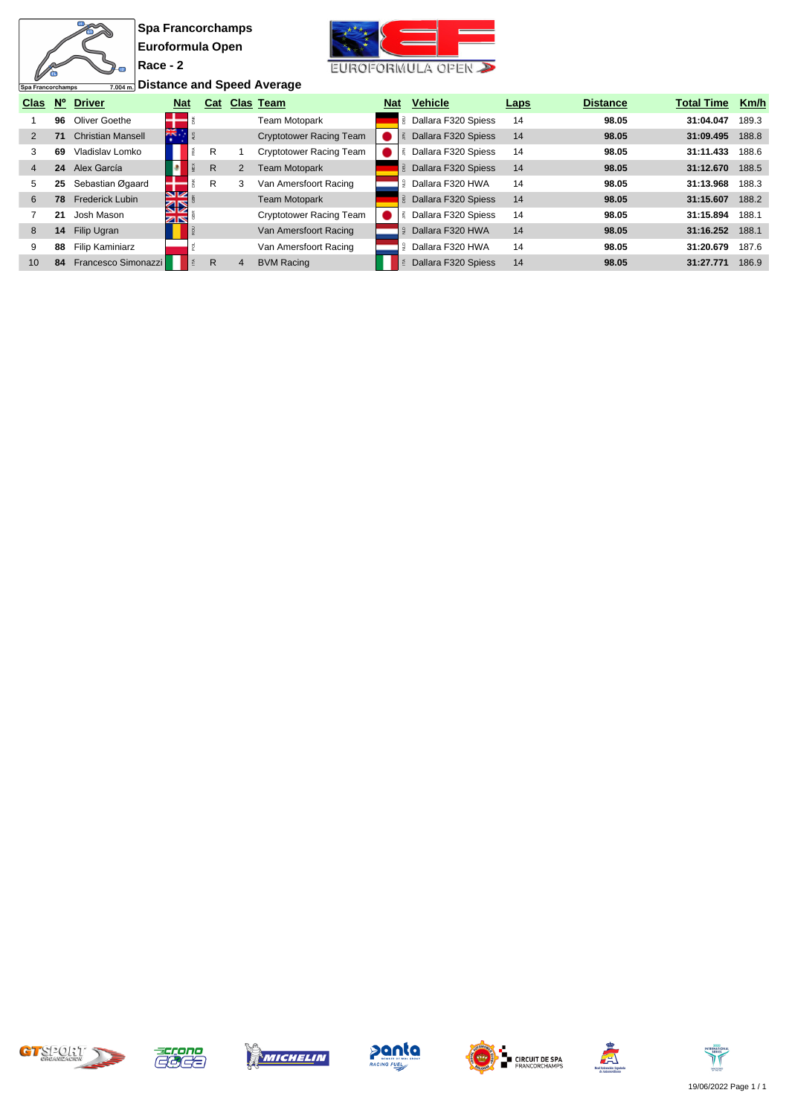$\frac{m}{m}$ 

Ð



**<u>7.004m.</u>** Distance and Speed Average

| Spa Francorchamps |             | 7.004ml Distance and Speed Average |            |     |   |                                |            |                              |             |                 |                   |       |
|-------------------|-------------|------------------------------------|------------|-----|---|--------------------------------|------------|------------------------------|-------------|-----------------|-------------------|-------|
| <b>Clas</b>       | $N^{\circ}$ | <b>Driver</b>                      | <b>Nat</b> | Cat |   | <b>Clas Team</b>               | <b>Nat</b> | <b>Vehicle</b>               | <b>Laps</b> | <b>Distance</b> | <b>Total Time</b> | Km/h  |
|                   | 96          | Oliver Goethe                      |            |     |   | Team Motopark                  |            | Dallara F320 Spiess<br>Ρ,    | 14          | 98.05           | 31:04.047         | 189.3 |
|                   | 71          | <b>Christian Mansell</b>           |            |     |   | <b>Cryptotower Racing Team</b> |            | Dallara F320 Spiess          | 14          | 98.05           | 31:09.495         | 188.8 |
| 3                 | 69          | Vladislav Lomko                    |            | R   |   | <b>Cryptotower Racing Team</b> |            | Dallara F320 Spiess          | 14          | 98.05           | 31:11.433         | 188.6 |
| 4                 | 24          | Alex García                        |            | R   | 2 | <b>Team Motopark</b>           |            | <b>B</b> Dallara F320 Spiess | 14          | 98.05           | 31:12.670         | 188.5 |
| 5                 | 25          | Sebastian Øgaard                   |            | R   | 3 | Van Amersfoort Racing          |            | Dallara F320 HWA<br>ੂ        | 14          | 98.05           | 31:13.968         | 188.3 |
| 6                 | 78          | <b>Frederick Lubin</b>             | VK<br>ସ⊠   |     |   | <b>Team Motopark</b>           |            | <b>B</b> Dallara F320 Spiess | 14          | 98.05           | 31:15.607         | 188.2 |
|                   | 21          | Josh Mason                         | বাষ        |     |   | Cryptotower Racing Team        |            | Dallara F320 Spiess          | 14          | 98.05           | 31:15.894         | 188.1 |
| 8                 | 14          | Filip Ugran                        |            |     |   | Van Amersfoort Racing          |            | Dallara F320 HWA             | 14          | 98.05           | 31:16.252         | 188.1 |
| 9                 | 88          | Filip Kaminiarz                    |            |     |   | Van Amersfoort Racing          |            | Dallara F320 HWA             | 14          | 98.05           | 31:20.679         | 187.6 |
| 10                | 84          | Francesco Simonazzi                |            | R   | 4 | <b>BVM Racing</b>              |            | Dallara F320 Spiess          | 14          | 98.05           | 31:27.771         | 186.9 |











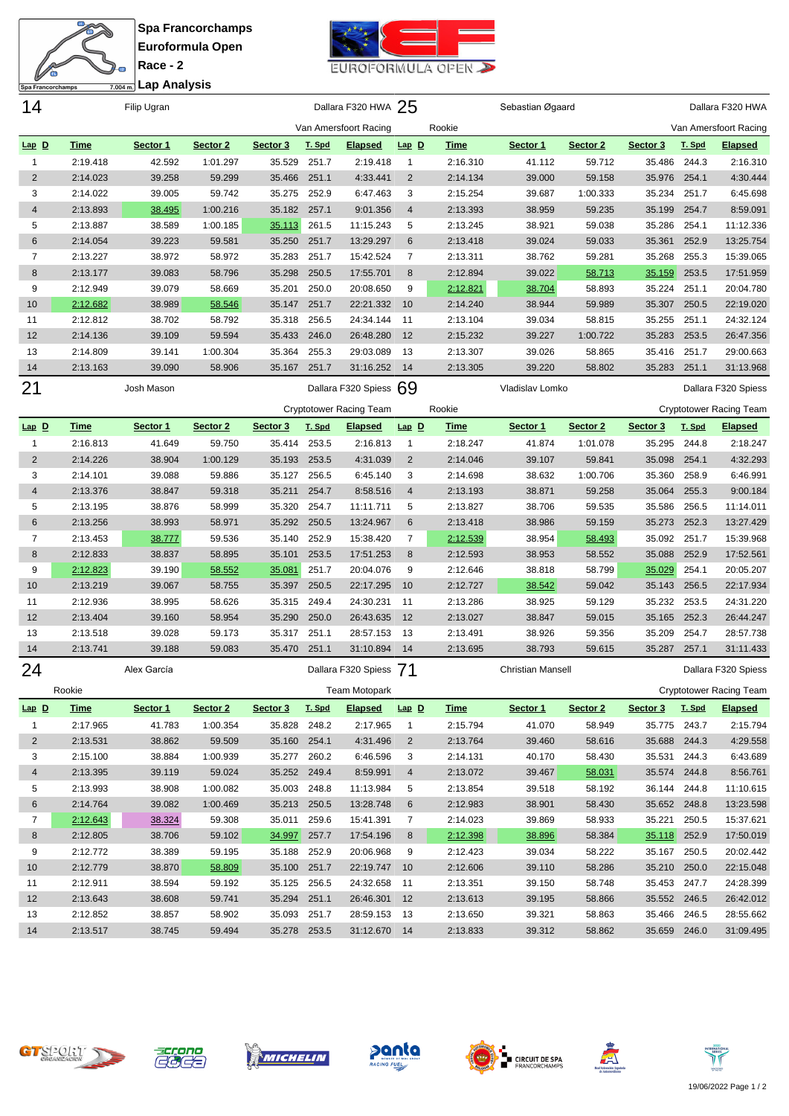**Race - 2 Lap Analysis**

衙

Spa Francorchamps



| 14             |             | Filip Ugran |          |              |        | Dallara F320 HWA 25            |                |             | Sebastian Øgaard         |          |                 |        | Dallara F320 HWA               |
|----------------|-------------|-------------|----------|--------------|--------|--------------------------------|----------------|-------------|--------------------------|----------|-----------------|--------|--------------------------------|
|                |             |             |          |              |        | Van Amersfoort Racing          |                | Rookie      |                          |          |                 |        | Van Amersfoort Racing          |
| $Lap$ $D$      | <b>Time</b> | Sector 1    | Sector 2 | Sector 3     | T. Spd | <b>Elapsed</b>                 | $Lap$ $D$      | <b>Time</b> | Sector 1                 | Sector 2 | Sector 3        | T. Spd | <b>Elapsed</b>                 |
| $\mathbf{1}$   | 2:19.418    | 42.592      | 1:01.297 | 35.529       | 251.7  | 2:19.418                       | $\overline{1}$ | 2:16.310    | 41.112                   | 59.712   | 35.486          | 244.3  | 2:16.310                       |
| 2              | 2:14.023    | 39.258      | 59.299   | 35.466       | 251.1  | 4:33.441                       | $\overline{2}$ | 2:14.134    | 39.000                   | 59.158   | 35.976 254.1    |        | 4:30.444                       |
| 3              | 2:14.022    | 39.005      | 59.742   | 35.275       | 252.9  | 6:47.463                       | 3              | 2:15.254    | 39.687                   | 1:00.333 | 35.234          | 251.7  | 6:45.698                       |
| $\overline{4}$ | 2:13.893    | 38.495      | 1:00.216 | 35.182       | 257.1  | 9:01.356                       | $\overline{4}$ | 2:13.393    | 38.959                   | 59.235   | 35.199          | 254.7  | 8:59.091                       |
| 5              | 2:13.887    | 38.589      | 1:00.185 | 35.113       | 261.5  | 11:15.243                      | 5              | 2:13.245    | 38.921                   | 59.038   | 35.286          | 254.1  | 11:12.336                      |
| 6              | 2:14.054    | 39.223      | 59.581   | 35.250       | 251.7  | 13:29.297                      | 6              | 2:13.418    | 39.024                   | 59.033   | 35.361          | 252.9  | 13:25.754                      |
| 7              | 2:13.227    | 38.972      | 58.972   | 35.283       | 251.7  | 15:42.524                      | 7              | 2:13.311    | 38.762                   | 59.281   | 35.268          | 255.3  | 15:39.065                      |
| 8              | 2:13.177    | 39.083      | 58.796   | 35.298       | 250.5  | 17:55.701                      | 8              | 2:12.894    | 39.022                   | 58.713   | 35.159          | 253.5  | 17:51.959                      |
| 9              | 2:12.949    | 39.079      | 58.669   | 35.201       | 250.0  | 20:08.650                      | 9              | 2:12.821    | 38.704                   | 58.893   | 35.224          | 251.1  | 20:04.780                      |
| 10             | 2:12.682    | 38.989      | 58.546   | 35.147       | 251.7  | 22:21.332                      | 10             | 2:14.240    | 38.944                   | 59.989   | 35.307          | 250.5  | 22:19.020                      |
| 11             | 2:12.812    | 38.702      | 58.792   | 35.318       | 256.5  | 24:34.144                      | 11             | 2:13.104    | 39.034                   | 58.815   | 35.255          | 251.1  | 24:32.124                      |
| 12             | 2:14.136    | 39.109      | 59.594   | 35.433       | 246.0  | 26:48.280                      | 12             | 2:15.232    | 39.227                   | 1:00.722 | 35.283          | 253.5  | 26:47.356                      |
| 13             | 2:14.809    | 39.141      | 1:00.304 | 35.364       | 255.3  | 29:03.089                      | 13             | 2:13.307    | 39.026                   | 58.865   | 35.416          | 251.7  | 29:00.663                      |
| 14             | 2:13.163    | 39.090      | 58.906   | 35.167       | 251.7  | 31:16.252                      | - 14           | 2:13.305    | 39.220                   | 58.802   | 35.283          | 251.1  | 31:13.968                      |
| 21             |             | Josh Mason  |          |              |        | Dallara F320 Spiess 69         |                |             | Vladislav Lomko          |          |                 |        | Dallara F320 Spiess            |
|                |             |             |          |              |        | <b>Cryptotower Racing Team</b> |                | Rookie      |                          |          |                 |        | <b>Cryptotower Racing Team</b> |
| $Lap$ $D$      | <b>Time</b> | Sector 1    | Sector 2 | Sector 3     | T. Spd | <u>Elapsed</u>                 | $Lap$ $D$      | <b>Time</b> | Sector 1                 | Sector 2 | Sector 3        | T. Spd | <b>Elapsed</b>                 |
| $\mathbf{1}$   | 2:16.813    | 41.649      | 59.750   | 35.414       | 253.5  | 2:16.813                       | $\mathbf{1}$   | 2:18.247    | 41.874                   | 1:01.078 | 35.295 244.8    |        | 2:18.247                       |
| $\overline{2}$ | 2:14.226    | 38.904      | 1:00.129 | 35.193       | 253.5  | 4:31.039                       | $\overline{2}$ | 2:14.046    | 39.107                   | 59.841   | 35.098          | 254.1  | 4:32.293                       |
| 3              | 2:14.101    | 39.088      | 59.886   | 35.127       | 256.5  | 6:45.140                       | 3              | 2:14.698    | 38.632                   | 1:00.706 | 35.360          | 258.9  | 6:46.991                       |
| $\overline{4}$ | 2:13.376    | 38.847      | 59.318   | 35.211       | 254.7  | 8:58.516                       | $\overline{4}$ | 2:13.193    | 38.871                   | 59.258   | 35.064          | 255.3  | 9:00.184                       |
| 5              | 2:13.195    |             |          | 35.320       | 254.7  | 11:11.711                      | 5              | 2:13.827    | 38.706                   | 59.535   |                 | 256.5  | 11:14.011                      |
|                |             | 38.876      | 58.999   |              |        |                                |                |             |                          |          | 35.586          |        |                                |
| 6              | 2:13.256    | 38.993      | 58.971   | 35.292       | 250.5  | 13:24.967                      | 6              | 2:13.418    | 38.986                   | 59.159   | 35.273          | 252.3  | 13:27.429                      |
| 7              | 2:13.453    | 38.777      | 59.536   | 35.140       | 252.9  | 15:38.420                      | 7              | 2:12.539    | 38.954                   | 58.493   | 35.092 251.7    |        | 15:39.968                      |
| 8              | 2:12.833    | 38.837      | 58.895   | 35.101       | 253.5  | 17:51.253                      | 8              | 2:12.593    | 38.953                   | 58.552   | 35.088          | 252.9  | 17:52.561                      |
| 9              | 2:12.823    | 39.190      | 58.552   | 35.081       | 251.7  | 20:04.076                      | 9              | 2:12.646    | 38.818                   | 58.799   | 35.029          | 254.1  | 20:05.207                      |
| 10             | 2:13.219    | 39.067      | 58.755   | 35.397       | 250.5  | 22:17.295                      | 10             | 2:12.727    | 38.542                   | 59.042   | 35.143          | 256.5  | 22:17.934                      |
| 11             | 2:12.936    | 38.995      | 58.626   | 35.315       | 249.4  | 24:30.231                      | 11             | 2:13.286    | 38.925                   | 59.129   | 35.232          | 253.5  | 24:31.220                      |
| 12             | 2:13.404    | 39.160      | 58.954   | 35.290       | 250.0  | 26:43.635                      | 12             | 2:13.027    | 38.847                   | 59.015   | 35.165 252.3    |        | 26:44.247                      |
| 13             | 2:13.518    | 39.028      | 59.173   | 35.317       | 251.1  | 28:57.153                      | 13             | 2:13.491    | 38.926                   | 59.356   | 35.209          | 254.7  | 28:57.738                      |
| 14             | 2:13.741    | 39.188      | 59.083   | 35.470       | 251.1  | 31:10.894                      | 14             | 2:13.695    | 38.793                   | 59.615   | 35.287          | 257.1  | 31:11.433                      |
| 24             |             | Alex García |          |              |        | Dallara F320 Spiess            | 71             |             | <b>Christian Mansell</b> |          |                 |        | Dallara F320 Spiess            |
|                | Rookie      |             |          |              |        | Team Motopark                  |                |             |                          |          |                 |        | Cryptotower Racing Team        |
| $Lap$ $D$      | <b>Time</b> | Sector 1    | Sector 2 | Sector 3     | T. Spd | <b>Elapsed</b>                 | $Lap$ $D$      | <b>Time</b> | Sector 1                 | Sector 2 | Sector 3 T. Spd |        | <b>Elapsed</b>                 |
| $\mathbf{1}$   | 2:17.965    | 41.783      | 1:00.354 | 35.828 248.2 |        | 2:17.965                       | $\overline{1}$ | 2:15.794    | 41.070                   | 58.949   | 35.775 243.7    |        | 2:15.794                       |
| $\overline{2}$ | 2:13.531    | 38.862      | 59.509   | 35.160 254.1 |        | 4:31.496                       | $\overline{2}$ | 2:13.764    | 39.460                   | 58.616   | 35.688 244.3    |        | 4:29.558                       |
| 3              | 2:15.100    | 38.884      | 1:00.939 | 35.277 260.2 |        | 6:46.596                       | 3              | 2:14.131    | 40.170                   | 58.430   | 35.531 244.3    |        | 6:43.689                       |
| $\overline{4}$ | 2:13.395    | 39.119      | 59.024   | 35.252 249.4 |        | 8:59.991                       | $\overline{4}$ | 2:13.072    | 39.467                   | 58.031   | 35.574 244.8    |        | 8:56.761                       |
| 5              | 2:13.993    | 38.908      | 1:00.082 | 35.003 248.8 |        | 11:13.984                      | 5              | 2:13.854    | 39.518                   | 58.192   | 36.144 244.8    |        | 11:10.615                      |
| 6              | 2:14.764    | 39.082      | 1:00.469 | 35.213 250.5 |        | 13:28.748                      | 6              | 2:12.983    | 38.901                   | 58.430   | 35.652 248.8    |        | 13:23.598                      |
| $\overline{7}$ | 2:12.643    | 38.324      | 59.308   | 35.011       | 259.6  | 15:41.391                      | $\overline{7}$ | 2:14.023    | 39.869                   | 58.933   | 35.221 250.5    |        | 15:37.621                      |
| 8              | 2:12.805    | 38.706      | 59.102   | 34.997 257.7 |        | 17:54.196                      | 8              | 2:12.398    | 38.896                   | 58.384   | 35.118 252.9    |        | 17:50.019                      |
| 9              | 2:12.772    | 38.389      | 59.195   | 35.188 252.9 |        | 20:06.968                      | 9              | 2:12.423    | 39.034                   | 58.222   | 35.167 250.5    |        | 20:02.442                      |
| 10             | 2:12.779    | 38.870      | 58.809   | 35.100 251.7 |        | 22:19.747 10                   |                | 2:12.606    | 39.110                   | 58.286   | 35.210 250.0    |        | 22:15.048                      |
| 11             | 2:12.911    | 38.594      | 59.192   | 35.125 256.5 |        | 24:32.658 11                   |                | 2:13.351    | 39.150                   | 58.748   | 35.453 247.7    |        | 24:28.399                      |
| 12             | 2:13.643    | 38.608      | 59.741   | 35.294 251.1 |        | 26:46.301 12                   |                | 2:13.613    | 39.195                   | 58.866   | 35.552 246.5    |        | 26:42.012                      |
| 13             | 2:12.852    | 38.857      | 58.902   | 35.093 251.7 |        | 28:59.153 13                   |                | 2:13.650    | 39.321                   | 58.863   | 35.466 246.5    |        | 28:55.662                      |
| 14             | 2:13.517    | 38.745      | 59.494   | 35.278 253.5 |        | 31:12.670 14                   |                | 2:13.833    | 39.312                   | 58.862   | 35.659 246.0    |        | 31:09.495                      |
|                |             |             |          |              |        |                                |                |             |                          |          |                 |        |                                |













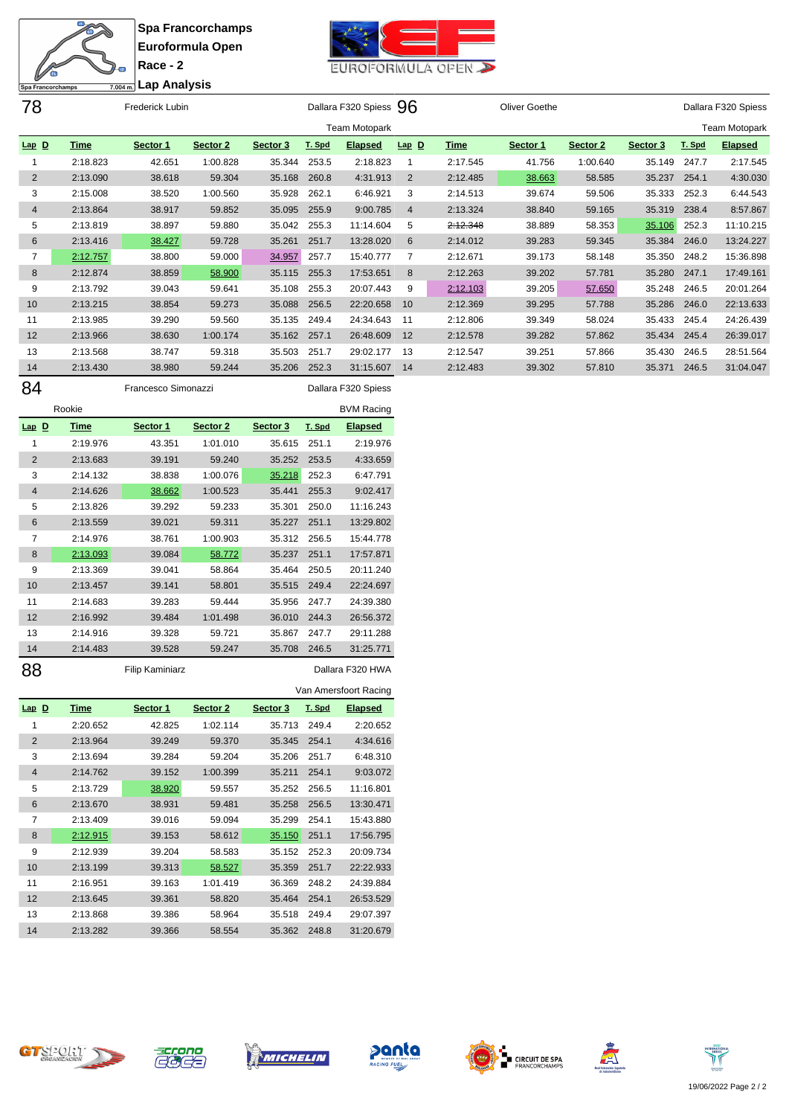**Race - 2**



**Lap Analysis**Spa Francorchamps 78 Frederick Lubin Dallara F320 Spiess 96 Oliver Goethe Dallara F320 Spiess Team Motopark Team Motopark **Lap D Time Sector 1 Sector 2 Sector 3 T. Spd Elapsed Lap D Time Sector 1 Sector 2 Sector 3 T. Spd Elapsed** 2:18.823 42.651 1:00.828 35.344 253.5 2:18.823 2:17.545 41.756 1:00.640 35.149 247.7 2:17.545 2:13.090 38.618 59.304 35.168 260.8 4:31.913 2:12.485 38.663 58.585 35.237 254.1 4:30.030 2:15.008 38.520 1:00.560 35.928 262.1 6:46.921 2:14.513 39.674 59.506 35.333 252.3 6:44.543 2:13.864 38.917 59.852 35.095 255.9 9:00.785 2:13.324 38.840 59.165 35.319 238.4 8:57.867 2:13.819 38.897 59.880 35.042 255.3 11:14.604 2:12.348 38.889 58.353 35.106 252.3 11:10.215 2:13.416 38.427 59.728 35.261 251.7 13:28.020 2:14.012 39.283 59.345 35.384 246.0 13:24.227 2:12.757 38.800 59.000 34.957 257.7 15:40.777 2:12.671 39.173 58.148 35.350 248.2 15:36.898 2:12.874 38.859 58.900 35.115 255.3 17:53.651 2:12.263 39.202 57.781 35.280 247.1 17:49.161 2:13.792 39.043 59.641 35.108 255.3 20:07.443 2:12.103 39.205 57.650 35.248 246.5 20:01.264 2:13.215 38.854 59.273 35.088 256.5 22:20.658 2:12.369 39.295 57.788 35.286 246.0 22:13.633 2:13.985 39.290 59.560 35.135 249.4 24:34.643 2:12.806 39.349 58.024 35.433 245.4 24:26.439 2:13.966 38.630 1:00.174 35.162 257.1 26:48.609 2:12.578 39.282 57.862 35.434 245.4 26:39.017 2:13.568 38.747 59.318 35.503 251.7 29:02.177 2:12.547 39.251 57.866 35.430 246.5 28:51.564 2:13.430 38.980 59.244 35.206 252.3 31:15.607 2:12.483 39.302 57.810 35.371 246.5 31:04.047

|                |             | Francesco Simonazzi |          |          |        | Dallara F320 Spiess |
|----------------|-------------|---------------------|----------|----------|--------|---------------------|
|                | Rookie      |                     |          |          |        | <b>BVM Racing</b>   |
| $Lap$ $D$      | <b>Time</b> | Sector 1            | Sector 2 | Sector 3 | T. Spd | <b>Elapsed</b>      |
| 1              | 2:19.976    | 43.351              | 1:01.010 | 35.615   | 251.1  | 2:19.976            |
| $\overline{2}$ | 2:13.683    | 39.191              | 59.240   | 35.252   | 253.5  | 4:33.659            |
| 3              | 2:14.132    | 38.838              | 1:00.076 | 35.218   | 252.3  | 6:47.791            |
| $\overline{4}$ | 2:14.626    | 38.662              | 1:00.523 | 35.441   | 255.3  | 9:02.417            |
| 5              | 2:13.826    | 39.292              | 59.233   | 35.301   | 250.0  | 11:16.243           |
| 6              | 2:13.559    | 39.021              | 59.311   | 35.227   | 251.1  | 13:29.802           |
| 7              | 2:14.976    | 38.761              | 1:00.903 | 35.312   | 256.5  | 15:44.778           |
| 8              | 2:13.093    | 39.084              | 58.772   | 35.237   | 251.1  | 17:57.871           |
| 9              | 2:13.369    | 39.041              | 58.864   | 35.464   | 250.5  | 20:11.240           |
| 10             | 2:13.457    | 39.141              | 58.801   | 35.515   | 249.4  | 22:24.697           |
| 11             | 2:14.683    | 39.283              | 59.444   | 35.956   | 247.7  | 24:39.380           |
| 12             | 2:16.992    | 39.484              | 1:01.498 | 36.010   | 244.3  | 26:56.372           |
| 13             | 2:14.916    | 39.328              | 59.721   | 35.867   | 247.7  | 29:11.288           |
| 14             | 2:14.483    | 39.528              | 59.247   | 35.708   | 246.5  | 31:25.771           |

88 Filip Kaminiarz **Dallara F320 HWA** Van Amersfoort Racing

| $Lap$ $D$      | <u>Time</u> | Sector 1 | Sector 2 | Sector 3 | T. Spd | <b>Elapsed</b> |
|----------------|-------------|----------|----------|----------|--------|----------------|
| 1              | 2:20.652    | 42.825   | 1:02.114 | 35.713   | 249.4  | 2:20.652       |
| $\overline{2}$ | 2:13.964    | 39.249   | 59.370   | 35.345   | 254.1  | 4:34.616       |
| 3              | 2:13.694    | 39.284   | 59.204   | 35.206   | 251.7  | 6:48.310       |
| $\overline{4}$ | 2:14.762    | 39.152   | 1:00.399 | 35.211   | 254.1  | 9:03.072       |
| 5              | 2:13.729    | 38.920   | 59.557   | 35.252   | 256.5  | 11:16.801      |
| 6              | 2:13.670    | 38.931   | 59.481   | 35.258   | 256.5  | 13:30.471      |
| 7              | 2:13.409    | 39.016   | 59.094   | 35.299   | 254.1  | 15:43.880      |
| 8              | 2:12.915    | 39.153   | 58.612   | 35.150   | 251.1  | 17:56.795      |
| 9              | 2:12.939    | 39.204   | 58.583   | 35.152   | 252.3  | 20:09.734      |
| 10             | 2:13.199    | 39.313   | 58.527   | 35.359   | 251.7  | 22:22.933      |
| 11             | 2:16.951    | 39.163   | 1:01.419 | 36.369   | 248.2  | 24:39.884      |
| 12             | 2:13.645    | 39.361   | 58.820   | 35.464   | 254.1  | 26:53.529      |
| 13             | 2:13.868    | 39.386   | 58.964   | 35.518   | 249.4  | 29:07.397      |
| 14             | 2:13.282    | 39.366   | 58.554   | 35.362   | 248.8  | 31:20.679      |













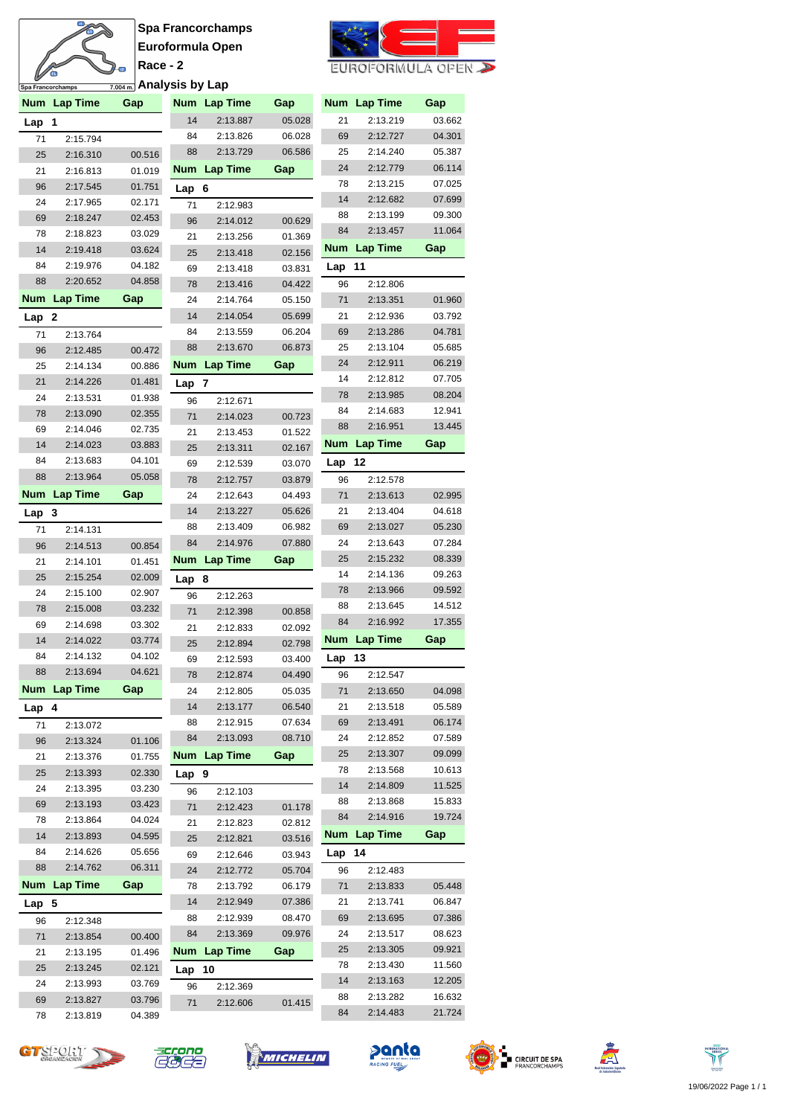# A Ø

**Spa Francorchamps Euroformula Open Race - 2**



| $\epsilon$ uroformula open $\blacktriangleright$ |  |
|--------------------------------------------------|--|
|--------------------------------------------------|--|

| ש                | Spa Francorchamps    | <del>7.004m.</del> Analysis by Lap |            |                      |                  |          |                      |                  |
|------------------|----------------------|------------------------------------|------------|----------------------|------------------|----------|----------------------|------------------|
|                  | Num Lap Time         | Gap                                |            | Num Lap Time         | Gap              |          | Num Lap Time         | Gap              |
| Lap              | 1                    |                                    | 14         | 2:13.887             | 05.028           | 21       | 2:13.219             | 03.662           |
| 71               | 2:15.794             |                                    | 84         | 2:13.826             | 06.028           | 69       | 2:12.727             | 04.301           |
| 25               | 2:16.310             | 00.516                             | 88         | 2:13.729             | 06.586           | 25       | 2:14.240             | 05.387           |
| 21               | 2:16.813             | 01.019                             | <b>Num</b> | <b>Lap Time</b>      | Gap              | 24       | 2:12.779             | 06.114           |
| 96               | 2:17.545             | 01.751                             | Lap        | 6                    |                  | 78       | 2:13.215             | 07.025           |
| 24               | 2:17.965             | 02.171                             | 71         | 2:12.983             |                  | 14       | 2:12.682             | 07.699           |
| 69               | 2:18.247             | 02.453                             | 96         | 2:14.012             | 00.629           | 88       | 2:13.199             | 09.300           |
| 78               | 2:18.823             | 03.029                             | 21         | 2:13.256             | 01.369           | 84       | 2:13.457             | 11.064           |
| 14               | 2:19.418             | 03.624                             | 25         | 2:13.418             | 02.156           | Num      | <b>Lap Time</b>      | Gap              |
| 84               | 2:19.976             | 04.182                             | 69         | 2:13.418             | 03.831           | Lap      | 11                   |                  |
| 88               | 2:20.652             | 04.858                             | 78         | 2:13.416             | 04.422           | 96       | 2:12.806             |                  |
| <b>Num</b>       | <b>Lap Time</b>      | Gap                                | 24         | 2:14.764             | 05.150           | 71       | 2:13.351             | 01.960           |
| Lap              | -2                   |                                    | 14         | 2:14.054             | 05.699           | 21       | 2:12.936             | 03.792           |
| 71               | 2:13.764             |                                    | 84         | 2:13.559             | 06.204           | 69       | 2:13.286             | 04.781           |
| 96               | 2:12.485             | 00.472                             | 88         | 2:13.670             | 06.873           | 25       | 2:13.104             | 05.685           |
| 25               | 2:14.134             | 00.886                             | Num        | <b>Lap Time</b>      | Gap              | 24<br>14 | 2:12.911             | 06.219           |
| 21               | 2:14.226             | 01.481                             | Lap        | 7                    |                  | 78       | 2:12.812<br>2:13.985 | 07.705<br>08.204 |
| 24               | 2:13.531             | 01.938                             | 96         | 2:12.671             |                  | 84       | 2:14.683             | 12.941           |
| 78<br>69         | 2:13.090<br>2:14.046 | 02.355<br>02.735                   | 71         | 2:14.023             | 00.723           | 88       | 2:16.951             | 13.445           |
| 14               | 2:14.023             | 03.883                             | 21         | 2:13.453             | 01.522           | Num      | <b>Lap Time</b>      | Gap              |
| 84               | 2:13.683             | 04.101                             | 25         | 2:13.311             | 02.167           | Lap      | 12                   |                  |
| 88               | 2:13.964             | 05.058                             | 69<br>78   | 2:12.539<br>2:12.757 | 03.070<br>03.879 | 96       | 2:12.578             |                  |
| <b>Num</b>       | <b>Lap Time</b>      | Gap                                | 24         | 2:12.643             | 04.493           | 71       | 2:13.613             | 02.995           |
| Lap <sub>3</sub> |                      |                                    | 14         | 2:13.227             | 05.626           | 21       | 2:13.404             | 04.618           |
| 71               | 2:14.131             |                                    | 88         | 2:13.409             | 06.982           | 69       | 2:13.027             | 05.230           |
| 96               | 2:14.513             | 00.854                             | 84         | 2:14.976             | 07.880           | 24       | 2:13.643             | 07.284           |
| 21               | 2:14.101             | 01.451                             | Num        | <b>Lap Time</b>      | Gap              | 25       | 2:15.232             | 08.339           |
| 25               | 2:15.254             | 02.009                             | Lap        | - 8                  |                  | 14       | 2:14.136             | 09.263           |
| 24               | 2:15.100             | 02.907                             | 96         | 2:12.263             |                  | 78       | 2:13.966             | 09.592           |
| 78               | 2:15.008             | 03.232                             | 71         | 2:12.398             | 00.858           | 88       | 2:13.645             | 14.512           |
| 69               | 2:14.698             | 03.302                             | 21         | 2:12.833             | 02.092           | 84       | 2:16.992             | 17.355           |
| 14               | 2:14.022             | 03.774                             | 25         | 2:12.894             | 02.798           | Num      | <b>Lap Time</b>      | Gap              |
| 84               | 2:14.132             | 04.102                             | 69         | 2:12.593             | 03.400           | Lap      | 13                   |                  |
| 88               | 2:13.694             | 04.621                             | 78         | 2:12.874             | 04.490           | 96       | 2:12.547             |                  |
| <b>Num</b>       | <b>Lap Time</b>      | Gap                                | 24         | 2:12.805             | 05.035           | 71       | 2:13.650             | 04.098           |
| Lap 4            |                      |                                    | 14         | 2:13.177             | 06.540           | 21       | 2:13.518             | 05.589           |
| 71               | 2:13.072             |                                    | 88         | 2:12.915             | 07.634           | 69       | 2:13.491             | 06.174           |
| 96               | 2:13.324             | 01.106                             | 84         | 2:13.093             | 08.710           | 24       | 2:12.852             | 07.589           |
| 21               | 2:13.376             | 01.755                             | Num        | <b>Lap Time</b>      | Gap              | 25       | 2:13.307             | 09.099           |
| 25               | 2:13.393             | 02.330                             | Lap 9      |                      |                  | 78       | 2:13.568             | 10.613           |
| 24               | 2:13.395             | 03.230                             | 96         | 2:12.103             |                  | 14       | 2:14.809             | 11.525           |
| 69               | 2:13.193             | 03.423                             | 71         | 2:12.423             | 01.178           | 88       | 2:13.868             | 15.833           |
| 78               | 2:13.864             | 04.024                             | 21         | 2:12.823             | 02.812           | 84       | 2:14.916             | 19.724           |
| 14               | 2:13.893             | 04.595                             | 25         | 2:12.821             | 03.516           | Num      | Lap Time             | Gap              |
| 84               | 2:14.626             | 05.656                             | 69         | 2:12.646             | 03.943           | Lap      | 14                   |                  |
| 88               | 2:14.762             | 06.311                             | 24         | 2:12.772             | 05.704           | 96       | 2:12.483             |                  |
| <b>Num</b>       | <b>Lap Time</b>      | Gap                                | 78         | 2:13.792             | 06.179           | 71       | 2:13.833             | 05.448           |
| Lap 5            |                      |                                    | 14         | 2:12.949             | 07.386           | 21       | 2:13.741             | 06.847           |
| 96               | 2:12.348             |                                    | 88<br>84   | 2:12.939<br>2:13.369 | 08.470<br>09.976 | 69<br>24 | 2:13.695<br>2:13.517 | 07.386<br>08.623 |
| 71               | 2:13.854             | 00.400                             | Num        | <b>Lap Time</b>      | Gap              | 25       | 2:13.305             | 09.921           |
| 21<br>25         | 2:13.195<br>2:13.245 | 01.496<br>02.121                   |            |                      |                  | 78       | 2:13.430             | 11.560           |
| 24               | 2:13.993             | 03.769                             | Lap        | 10                   |                  | 14       | 2:13.163             | 12.205           |
| 69               | 2:13.827             | 03.796                             | 96         | 2:12.369             |                  | 88       | 2:13.282             | 16.632           |
| 78               | 2:13.819             | 04.389                             | 71         | 2:12.606             | 01.415           | 84       | 2:14.483             | 21.724           |
|                  |                      |                                    |            |                      |                  |          |                      |                  |













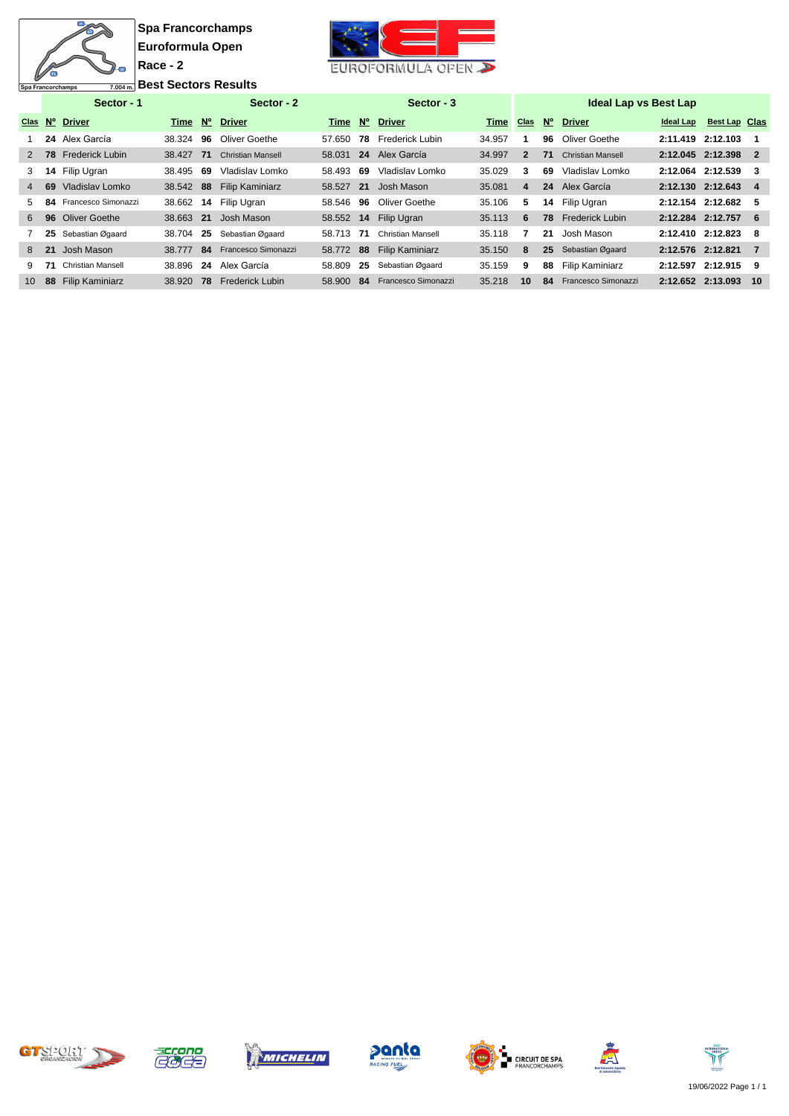$\overline{\mathbf{u}}$ 衙

Spa Francorchamps



**<u>7.004 m.</u>** Best Sectors Results

|                 | Sector - 1  |                           |           |             | Sector - 2               |        |             | Sector - 3               |        |                         |             | <b>Ideal Lap vs Best Lap</b> |                   |                      |    |
|-----------------|-------------|---------------------------|-----------|-------------|--------------------------|--------|-------------|--------------------------|--------|-------------------------|-------------|------------------------------|-------------------|----------------------|----|
| Clas            | $N^{\circ}$ | <b>Driver</b>             | Time      | $N^{\circ}$ | <b>Driver</b>            | Time   | $N^{\circ}$ | <b>Driver</b>            | Time   | <b>Clas</b>             | $N^{\circ}$ | <b>Driver</b>                | Ideal Lap         | <b>Best Lap Clas</b> |    |
|                 |             | 24 Alex García            | 38.324    | 96          | Oliver Goethe            | 57.650 | 78          | <b>Frederick Lubin</b>   | 34.957 |                         | 96          | Oliver Goethe                | 2:11.419 2:12.103 |                      |    |
| $\mathcal{P}$   |             | <b>78</b> Frederick Lubin | 38.427 71 |             | <b>Christian Mansell</b> | 58.031 |             | 24 Alex García           | 34.997 | 2                       | 71          | <b>Christian Mansell</b>     | 2:12.045 2:12.398 |                      | -2 |
| 3               | 14          | Filip Ugran               | 38.495    | -69         | Vladislav Lomko          | 58.493 | 69          | Vladislav Lomko          | 35.029 | 3                       | 69          | Vladislav Lomko              | 2:12.064 2:12.539 |                      | 3  |
| $\overline{4}$  | 69          | Vladislav Lomko           | 38.542 88 |             | <b>Filip Kaminiarz</b>   | 58.527 | 21          | Josh Mason               | 35.081 | $\overline{\mathbf{4}}$ | 24          | Alex García                  | 2:12.130 2:12.643 |                      | 4  |
| 5.              | 84          | Francesco Simonazzi       | 38.662    | 14          | Filip Ugran              | 58.546 | 96          | Oliver Goethe            | 35.106 | 5                       | 14          | Filip Ugran                  | 2:12.154 2:12.682 |                      | 5  |
| 6               |             | 96 Oliver Goethe          | 38.663 21 |             | Josh Mason               | 58.552 | 14          | Filip Ugran              | 35.113 | 6                       | 78          | <b>Frederick Lubin</b>       | 2:12.284 2:12.757 |                      | -6 |
|                 | 25          | Sebastian Øgaard          | 38.704    | 25          | Sebastian Øgaard         | 58.713 | 71          | <b>Christian Mansell</b> | 35.118 |                         | 21          | Josh Mason                   | 2:12.410 2:12.823 |                      | -8 |
| 8               | 21          | Josh Mason                | 38.777 84 |             | Francesco Simonazzi      | 58.772 | 88          | <b>Filip Kaminiarz</b>   | 35.150 | 8                       | 25          | Sebastian Øgaard             | 2:12.576 2:12.821 |                      | 7  |
| 9.              | 71          | <b>Christian Mansell</b>  | 38.896 24 |             | Alex García              | 58.809 | 25          | Sebastian Øgaard         | 35.159 | 9                       | 88          | Filip Kaminiarz              | 2:12.597 2:12.915 |                      | 9  |
| 10 <sup>1</sup> | 88          | <b>Filip Kaminiarz</b>    | 38.920 78 |             | <b>Frederick Lubin</b>   | 58,900 | 84          | Francesco Simonazzi      | 35.218 | 10                      | 84          | Francesco Simonazzi          | 2:12.652 2:13.093 |                      | 10 |











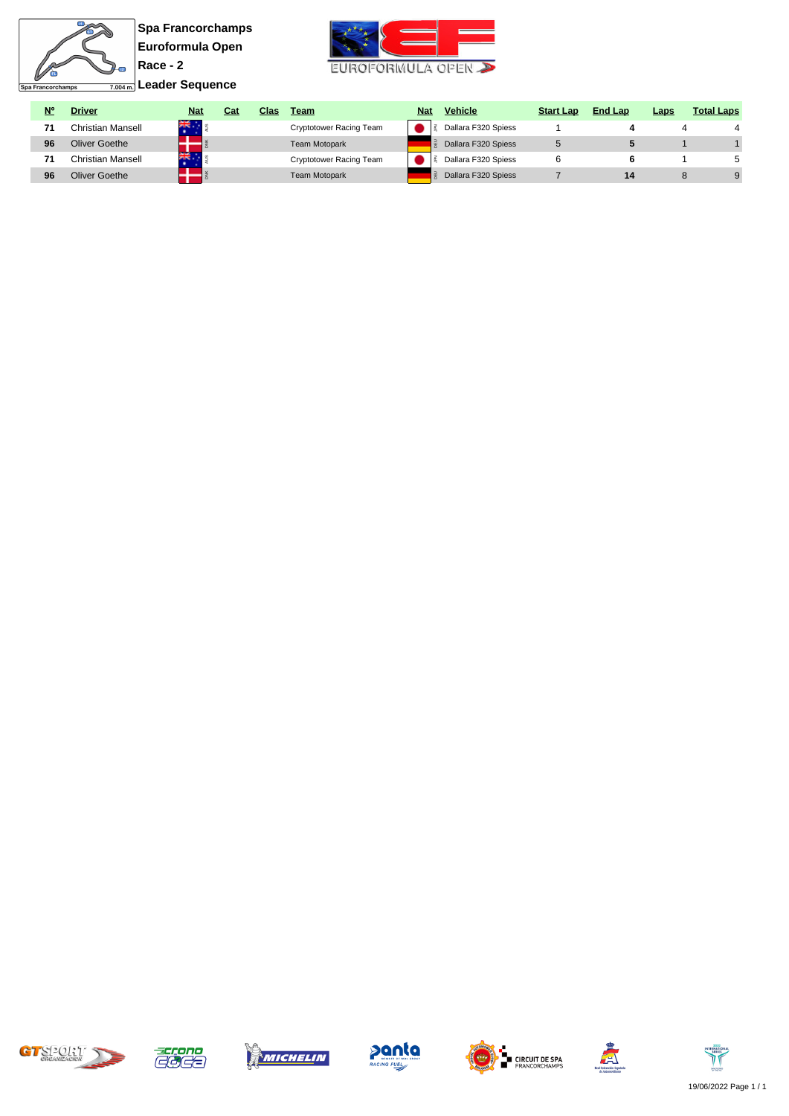

**Leader Sequence**



| <b>N°</b> | <b>Driver</b>     | <b>Nat</b> | Cat | Clas | Team                    | <b>Nat</b> | <b>Vehicle</b>      | <b>Start Lap</b> | <b>End Lap</b> | Laps | <b>Total Laps</b> |
|-----------|-------------------|------------|-----|------|-------------------------|------------|---------------------|------------------|----------------|------|-------------------|
| 71        | Christian Mansell | 業          |     |      | Cryptotower Racing Team |            | Dallara F320 Spiess |                  |                |      |                   |
| 96        | Oliver Goethe     |            |     |      | <b>Team Motopark</b>    |            | Dallara F320 Spiess |                  |                |      |                   |
|           | Christian Mansell | 꾫.         |     |      | Cryptotower Racing Team |            | Dallara F320 Spiess |                  |                |      |                   |
| 96        | Oliver Goethe     |            |     |      | <b>Team Motopark</b>    |            | Dallara F320 Spiess |                  | 14             |      |                   |













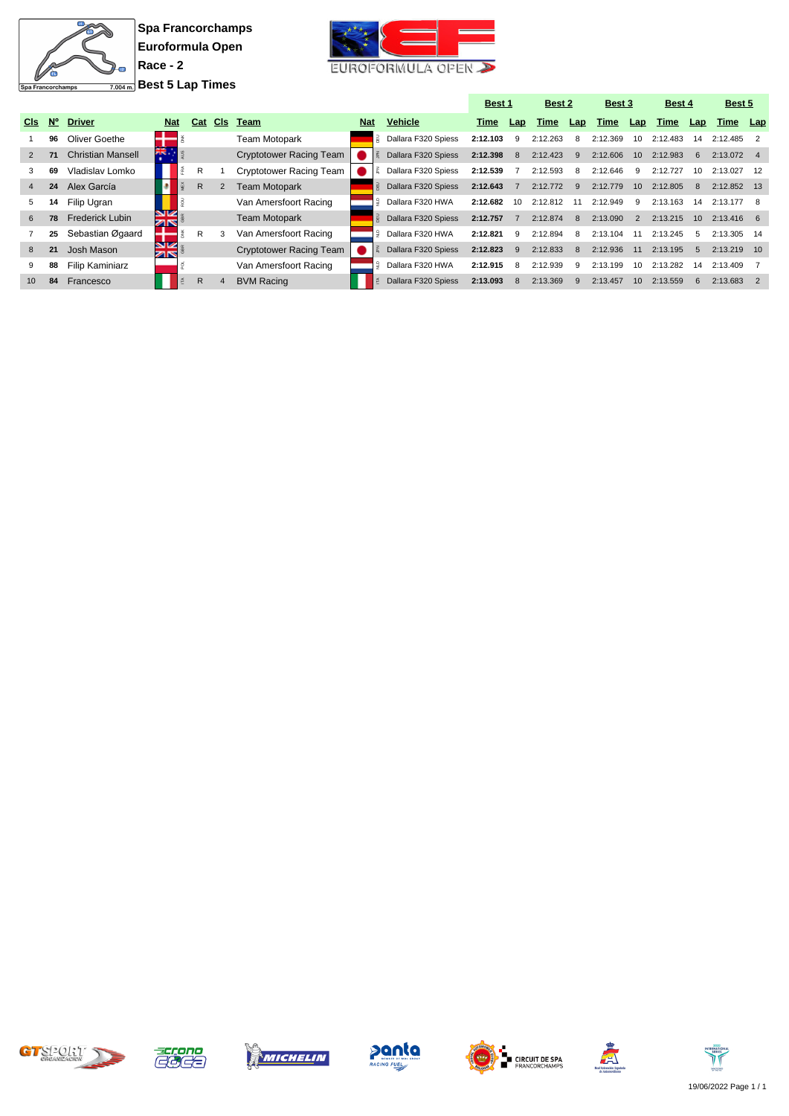

Simonazzi

**Spa Francorchamps Euroformula Open Race - 2 Best 5 Lap Times**



|                 |             |                          |                    |   |     |                       |                                |            |                     | Best 1   |     | Best 2   |     | Best 3   |                 | <b>Best 4</b> |                 | Best 5      |      |
|-----------------|-------------|--------------------------|--------------------|---|-----|-----------------------|--------------------------------|------------|---------------------|----------|-----|----------|-----|----------|-----------------|---------------|-----------------|-------------|------|
| C <sub>ls</sub> | $N^{\circ}$ | <b>Driver</b>            | <b>Nat</b>         |   | Cat | <b>CIs</b>            | Team                           | <b>Nat</b> | <b>Vehicle</b>      | Time     | Lap | Time     | Lap | Time     | Lap             | Time          | Lap             | Time        | Lap  |
|                 | 96          | Oliver Goethe            |                    |   |     |                       | <b>Team Motopark</b>           |            | Dallara F320 Spiess | 2:12.103 | 9   | 2:12.263 | 8   | 2:12.369 | 10              | 2:12.483      | 14              | 2:12.485    |      |
| 2               | 71          | <b>Christian Mansell</b> | $25 - 25$          |   |     |                       | Cryptotower Racing Team        |            | Dallara F320 Spiess | 2:12.398 | 8   | 2:12.423 | -9  | 2:12.606 | 10 <sup>°</sup> | 2:12.983      | 6               | 2:13.072 4  |      |
| 3               | 69          | Vladislav Lomko          |                    | ě | R   |                       | Cryptotower Racing Team        |            | Dallara F320 Spiess | 2:12.539 |     | 2:12.593 | -8  | 2:12.646 | -9              | 2:12.727      | 10              | 2:13.027    |      |
| 4               | 24          | Alex García              |                    |   | R.  | 2                     | <b>Team Motopark</b>           |            | Dallara F320 Spiess | 2:12.643 |     | 2:12.772 | 9   | 2:12.779 | 10              | 2:12.805      | 8               | 2:12.852 13 |      |
| 5               | 14          | Filip Ugran              |                    |   |     |                       | Van Amersfoort Racing          | E          | Dallara F320 HWA    | 2:12.682 | 10  | 2:12.812 | 11  | 2:12.949 | -9              | 2:13.163      | 14              | 2:13.177    |      |
| 6               | 78          | <b>Frederick Lubin</b>   | NIZ.<br><b>ZIN</b> |   |     |                       | <b>Team Motopark</b>           |            | Dallara F320 Spiess | 2:12.757 |     | 2:12.874 | 8   | 2:13.090 | 2               | 2:13.215      | 10 <sup>1</sup> | 2:13.416 6  |      |
|                 | 25          | Sebastian Øgaard         |                    | ž | R   | 3                     | Van Amersfoort Racing          |            | Dallara F320 HWA    | 2:12.821 | q   | 2:12.894 | 8   | 2:13.104 |                 | 2:13.245      | 5               | 2:13.305    | - 14 |
| 8               | 21          | Josh Mason               | NIZ.<br>zr.        |   |     |                       | <b>Cryptotower Racing Team</b> |            | Dallara F320 Spiess | 2:12.823 | 9   | 2:12.833 | 8   | 2:12.936 | 11              | 2:13.195      | 5               | 2:13.219    | 10   |
| 9               | 88          | Filip Kaminiarz          |                    |   |     |                       | Van Amersfoort Racing          |            | Dallara F320 HWA    | 2:12.915 | 8   | 2:12.939 | -9  | 2:13.199 | 10              | 2:13.282      | 14              | 2:13.409    |      |
| 10 <sup>1</sup> | 84          | Francesco                |                    |   | R.  | $\boldsymbol{\Delta}$ | <b>BVM Racing</b>              |            | Dallara F320 Spiess | 2:13.093 |     | 2:13.369 |     | 2:13.457 | 10 <sup>1</sup> | 2:13.559      | 6               | 2:13.683    |      |













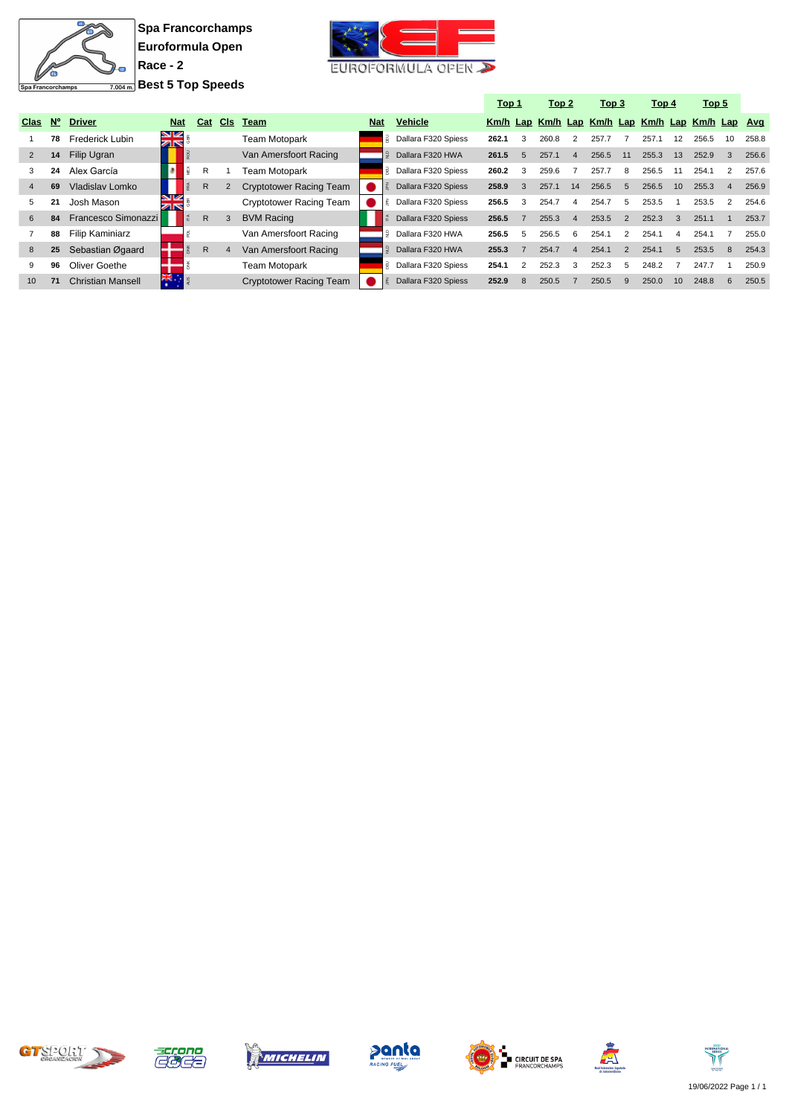

**Spa Francorchamps Euroformula Open Race - 2 Best 5 Top Speeds**



|                |             |                          |                |              |            |                                |            |                          | <u>Top 1</u> |                | <u>Top 2</u>                                     |                | Top 3 |               | Top 4 |    | Top <sub>5</sub> |                |       |
|----------------|-------------|--------------------------|----------------|--------------|------------|--------------------------------|------------|--------------------------|--------------|----------------|--------------------------------------------------|----------------|-------|---------------|-------|----|------------------|----------------|-------|
| <b>Clas</b>    | $N^{\circ}$ | <b>Driver</b>            | <b>Nat</b>     | Cat          | <b>CIs</b> | <b>Team</b>                    | <b>Nat</b> | <b>Vehicle</b>           |              |                | Km/h Lap Km/h Lap Km/h Lap Km/h Lap Km/h Lap Avg |                |       |               |       |    |                  |                |       |
|                | 78          | Frederick Lubin          | ⊠<br>⊼n        |              |            | Team Motopark                  |            | Dallara F320 Spiess      | 262.1        | 3              | 260.8                                            | $\overline{2}$ | 257.7 |               | 257.1 | 12 | 256.5            | 10             | 258.8 |
| 2              | 14          | Filip Ugran              |                |              |            | Van Amersfoort Racing          |            | Dallara F320 HWA         | 261.5        | $\overline{5}$ | 257.1                                            | $\overline{4}$ | 256.5 | 11            | 255.3 | 13 | 252.9            | 3              | 256.6 |
| 3              | 24          | Alex García              | ĝ              | R            |            | Team Motopark                  |            | Dallara F320 Spiess<br>핒 | 260.2        | 3              | 259.6                                            |                | 257.7 | 8             | 256.5 | 11 | 254.1            |                | 257.6 |
| $\overline{4}$ | 69          | Vladislav Lomko          |                | R            |            | <b>Cryptotower Racing Team</b> |            | Dallara F320 Spiess      | 258.9        | 3              | 257.1                                            | 14             | 256.5 | $5^{\circ}$   | 256.5 | 10 | 255.3            | $\overline{4}$ | 256.9 |
| 5              | 21          | Josh Mason               | V<br>বাষ       |              |            | Cryptotower Racing Team        |            | Dallara F320 Spiess      | 256.5        | 3              | 254.7                                            | $\overline{a}$ | 254.7 | 5             | 253.5 |    | 253.5            | 2              | 254.6 |
| 6              | 84          | Francesco Simonazzi      |                | R            |            | <b>BVM Racing</b>              |            | Dallara F320 Spiess<br>존 | 256.5        |                | 255.3                                            | $\overline{4}$ | 253.5 | 2             | 252.3 | 3  | 251.1            |                | 253.7 |
|                | 88          | <b>Filip Kaminiarz</b>   |                |              |            | Van Amersfoort Racing          |            | Dallara F320 HWA         | 256.5        | 5              | 256.5                                            | 6              | 254.1 | $\mathcal{P}$ | 254.1 | 4  | 254.7            |                | 255.0 |
| 8              | 25          | Sebastian Øgaard         |                | $\mathsf{R}$ |            | Van Amersfoort Racing          |            | Dallara F320 HWA         | 255.3        |                | 254.7                                            | $\Delta$       | 254.1 | $\mathcal{P}$ | 254.1 | 5  | 253.5            | 8              | 254.3 |
| 9              | 96          | Oliver Goethe            |                |              |            | Team Motopark                  |            | Dallara F320 Spiess      | 254.1        |                | 252.3                                            | 3              | 252.3 | 5             | 248.2 |    | 247.7            |                | 250.9 |
| 10             | 71          | <b>Christian Mansell</b> | 꽃<br>$\bullet$ |              |            | <b>Cryptotower Racing Team</b> |            | Dallara F320 Spiess      | 252.9        | 8              | 250.5                                            |                | 250.5 | 9             | 250.0 | 10 | 248.8            | 6              | 250.5 |













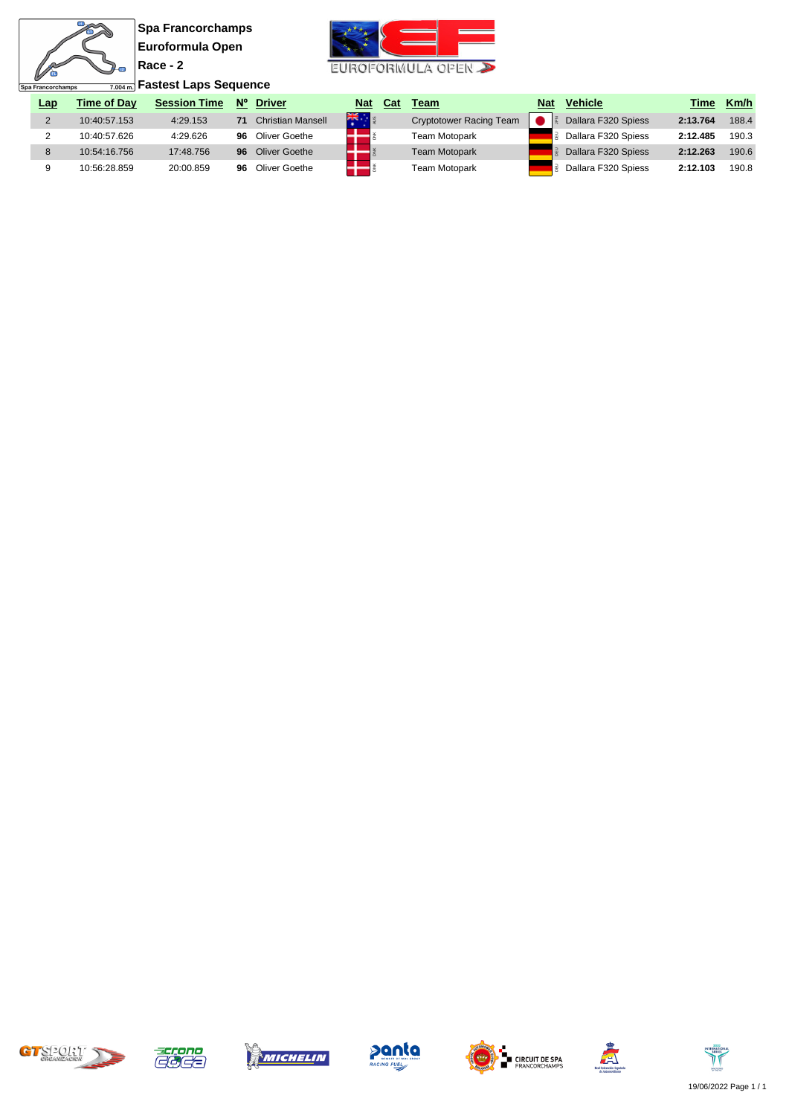$\frac{m}{s}$ N

ø



| レ<br>$\frac{1}{7.004\,\text{m}}$ Fastest Laps Sequence<br>Spa Francorchamps |     |                    |                     |             |                   |                                           |     |                                |            |                     |          |       |
|-----------------------------------------------------------------------------|-----|--------------------|---------------------|-------------|-------------------|-------------------------------------------|-----|--------------------------------|------------|---------------------|----------|-------|
|                                                                             | Lap | <b>Time of Dav</b> | <b>Session Time</b> | $N^{\circ}$ | <b>Driver</b>     | <b>Nat</b>                                | Cat | Team                           | <b>Nat</b> | <b>Vehicle</b>      | Time     | Km/h  |
|                                                                             |     | 10:40:57.153       | 4:29.153            |             | Christian Mansell | $\frac{1}{2}$ $\frac{1}{2}$ $\frac{1}{2}$ |     | <b>Cryptotower Racing Team</b> |            | Dallara F320 Spiess | 2:13.764 | 188.4 |
|                                                                             |     | 10:40:57.626       | 4:29.626            | 96          | Oliver Goethe     |                                           |     | <b>Team Motopark</b>           |            | Dallara F320 Spiess | 2:12.485 | 190.3 |
|                                                                             |     | 10:54:16.756       | 17:48.756           | 96          | Oliver Goethe     |                                           |     | <b>Team Motopark</b>           |            | Dallara F320 Spiess | 2:12.263 | 190.6 |
|                                                                             |     | 10:56:28.859       | 20:00.859           | 96          | Oliver Goethe     |                                           |     | Team Motopark                  |            | Dallara F320 Spiess | 2:12.103 | 190.8 |













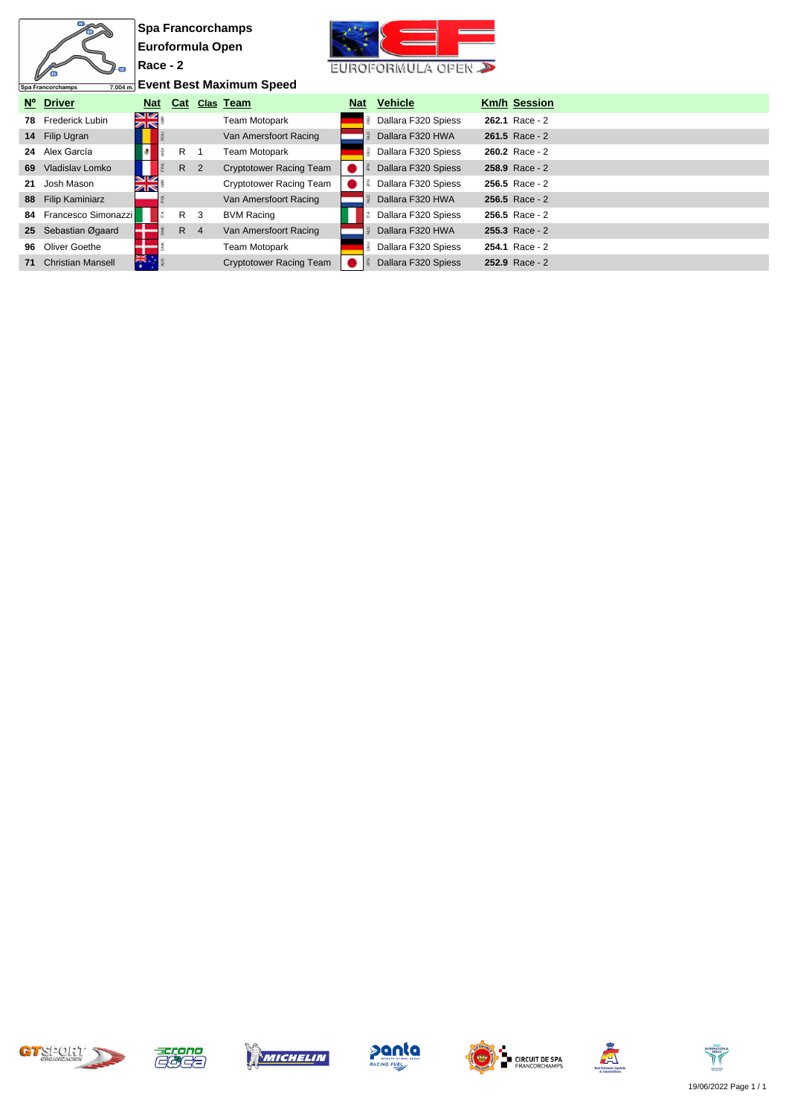|    |                               |                                 |              | <b>Spa Francorchamps</b> |                                |            |    |                     |  |                     |  |  |  |  |
|----|-------------------------------|---------------------------------|--------------|--------------------------|--------------------------------|------------|----|---------------------|--|---------------------|--|--|--|--|
|    |                               | Euroformula Open                |              |                          |                                |            |    |                     |  |                     |  |  |  |  |
|    |                               | $Race - 2$                      |              |                          | EUROFORMULA OPEN               |            |    |                     |  |                     |  |  |  |  |
|    | 7.004 m.<br>Spa Francorchamps | <b>Event Best Maximum Speed</b> |              |                          |                                |            |    |                     |  |                     |  |  |  |  |
|    | Nº Driver                     | <b>Nat</b>                      | Cat          |                          | Clas Team                      | <b>Nat</b> |    | <b>Vehicle</b>      |  | <b>Km/h Session</b> |  |  |  |  |
| 78 | Frederick Lubin               | 9×<br>ZN                        |              |                          | <b>Team Motopark</b>           |            | ₹. | Dallara F320 Spiess |  | 262.1 Race - 2      |  |  |  |  |
|    | 14 Filip Ugran                |                                 |              |                          | Van Amersfoort Racing          |            |    | Dallara F320 HWA    |  | 261.5 Race - 2      |  |  |  |  |
|    | 24 Alex García                |                                 | $\mathsf{R}$ |                          | <b>Team Motopark</b>           |            | 릶  | Dallara F320 Spiess |  | 260.2 Race - 2      |  |  |  |  |
| 69 | Vladislav Lomko               |                                 | R 2          |                          | <b>Cryptotower Racing Team</b> |            |    | Dallara F320 Spiess |  | 258.9 Race - 2      |  |  |  |  |
| 21 | Josh Mason                    | NK<br>AR                        |              |                          | <b>Cryptotower Racing Team</b> |            |    | Dallara F320 Spiess |  | 256.5 Race - 2      |  |  |  |  |
|    | 88 Filip Kaminiarz            |                                 |              |                          | Van Amersfoort Racing          |            |    | Dallara F320 HWA    |  | $256.5$ Race - 2    |  |  |  |  |
| 84 | Francesco Simonazzi           |                                 | R            | 3                        | <b>BVM Racing</b>              |            | É  | Dallara F320 Spiess |  | $256.5$ Race - 2    |  |  |  |  |
|    | 25 Sebastian Øgaard           |                                 | $R$ 4        |                          | Van Amersfoort Racing          |            |    | Dallara F320 HWA    |  | $255.3$ Race - 2    |  |  |  |  |
| 96 | Oliver Goethe                 |                                 |              |                          | Team Motopark                  |            |    | Dallara F320 Spiess |  | 254.1 Race - 2      |  |  |  |  |
| 71 | <b>Christian Mansell</b>      | 活                               |              |                          | <b>Cryptotower Racing Team</b> |            |    | Dallara F320 Spiess |  | 252.9 Race - 2      |  |  |  |  |













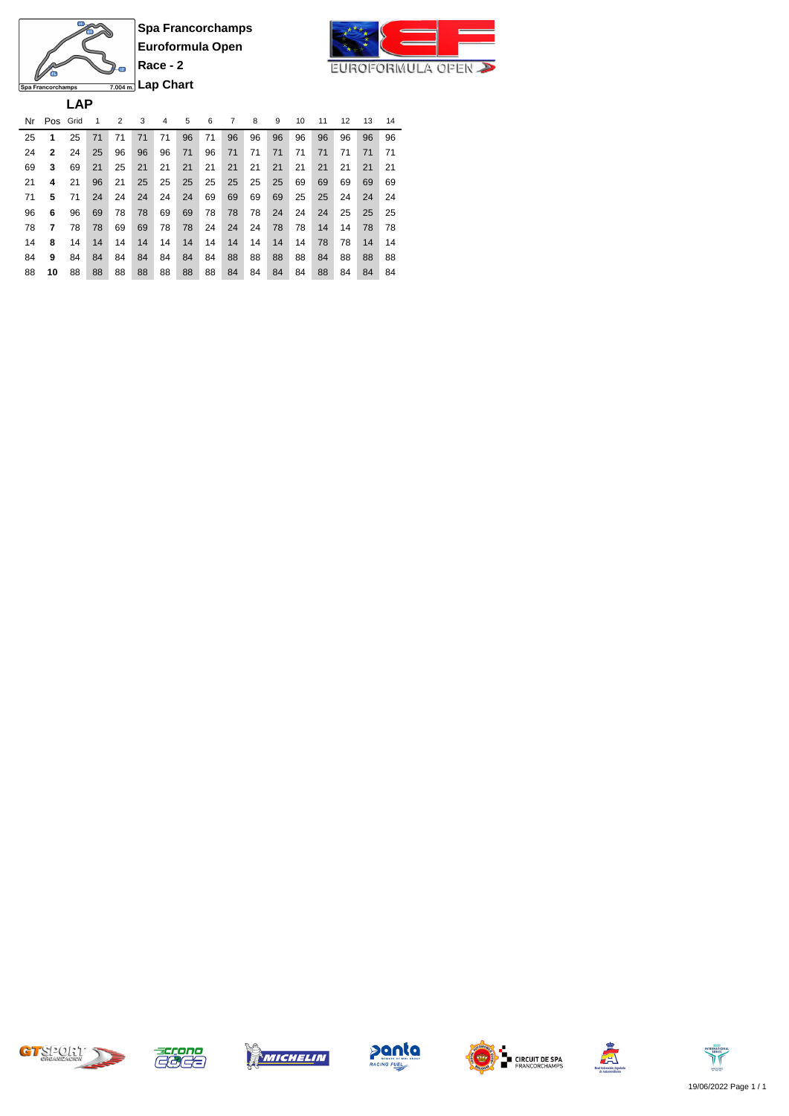

**Lap Chart**Spa Francorchamps **LAP**

Л

Ø

 $\frac{m}{s}$ 

Nr Pos Grid 1 2 3 4 5 6 7 8 9 10 11 12 13 14 **1** 25 71 71 71 71 96 71 96 96 96 96 96 96 96 96 **2** 24 25 96 96 96 71 96 71 71 71 71 71 71 71 71 **3** 69 21 25 21 21 21 21 21 21 21 21 21 21 21 21 **4** 21 96 21 25 25 25 25 25 25 25 69 69 69 69 69 **5** 71 24 24 24 24 24 69 69 69 69 25 25 24 24 24 **6** 96 69 78 78 69 69 78 78 78 24 24 24 25 25 25 **7** 78 78 69 69 78 78 24 24 24 78 78 14 14 78 78 **8** 14 14 14 14 14 14 14 14 14 14 14 78 78 14 14 **9** 84 84 84 84 84 84 84 88 88 88 88 84 88 88 88 **10** 88 88 88 88 88 88 88 84 84 84 84 88 84 84 84











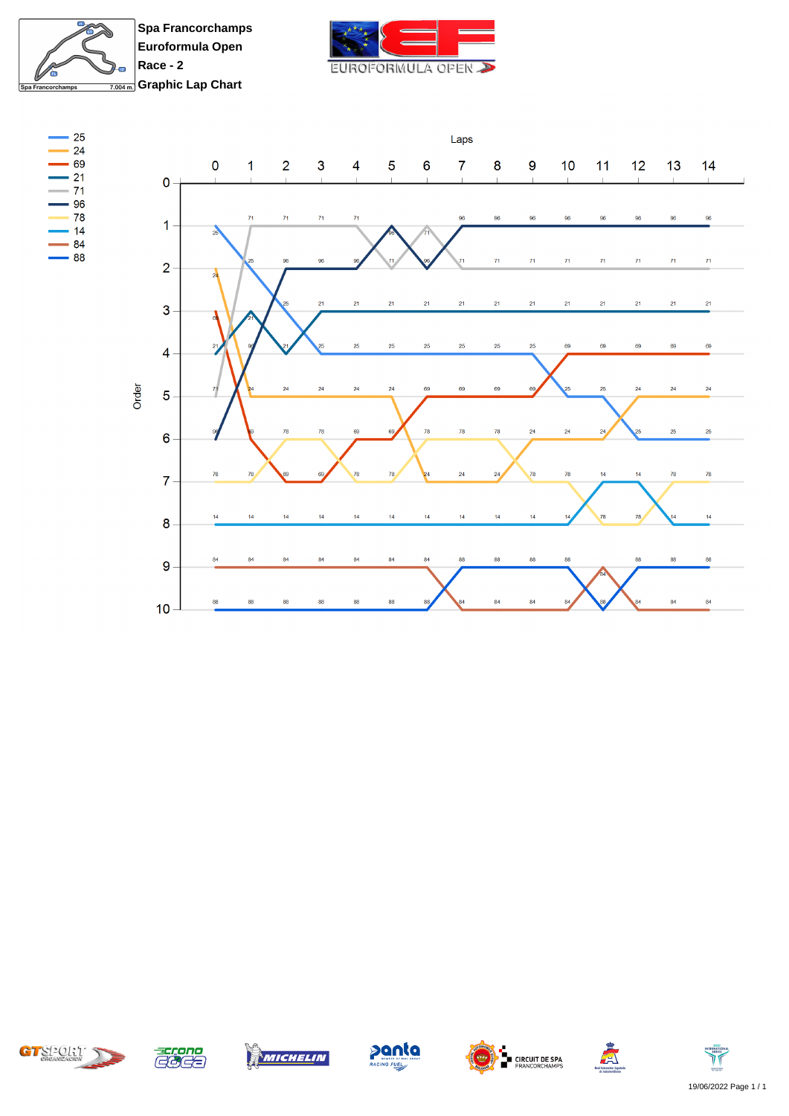

**Spa Francorchamps Euroformula Open Race - 2 Graphic Lap Chart** 



















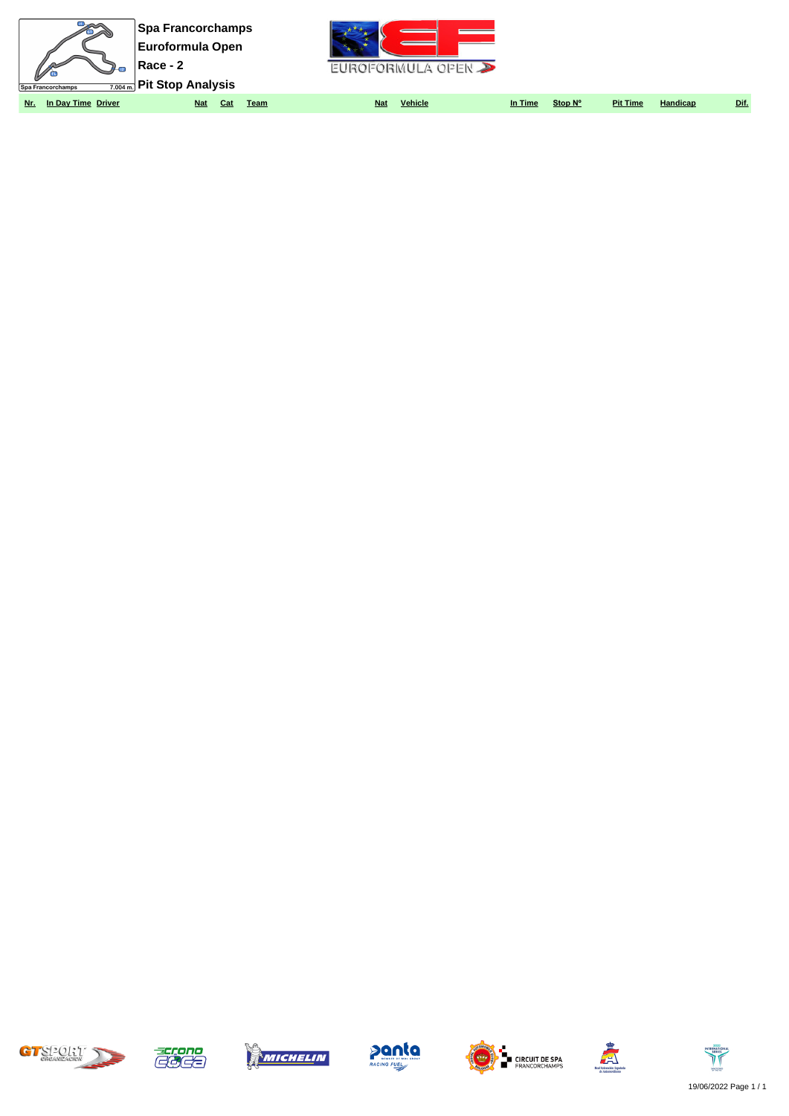| $\nu$<br>Spa Francorchamps | <b>Spa Francorchamps</b><br><b>Euroformula Open</b><br>Race - 2<br>$\frac{1}{7.004 \text{ m}}$ Pit Stop Analysis |                           | $\sim$ $\sim$<br>FUROFORMULA OPEN $\sum$ |         |                 |          |      |
|----------------------------|------------------------------------------------------------------------------------------------------------------|---------------------------|------------------------------------------|---------|-----------------|----------|------|
| In Day Time Driver<br>Nr.  | <b>Nat</b><br>Cat                                                                                                | <b>Nat</b><br><u>Team</u> | <b>Vehicle</b><br>In Time                | Stop N° | <b>Pit Time</b> | Handicap | Dif. |